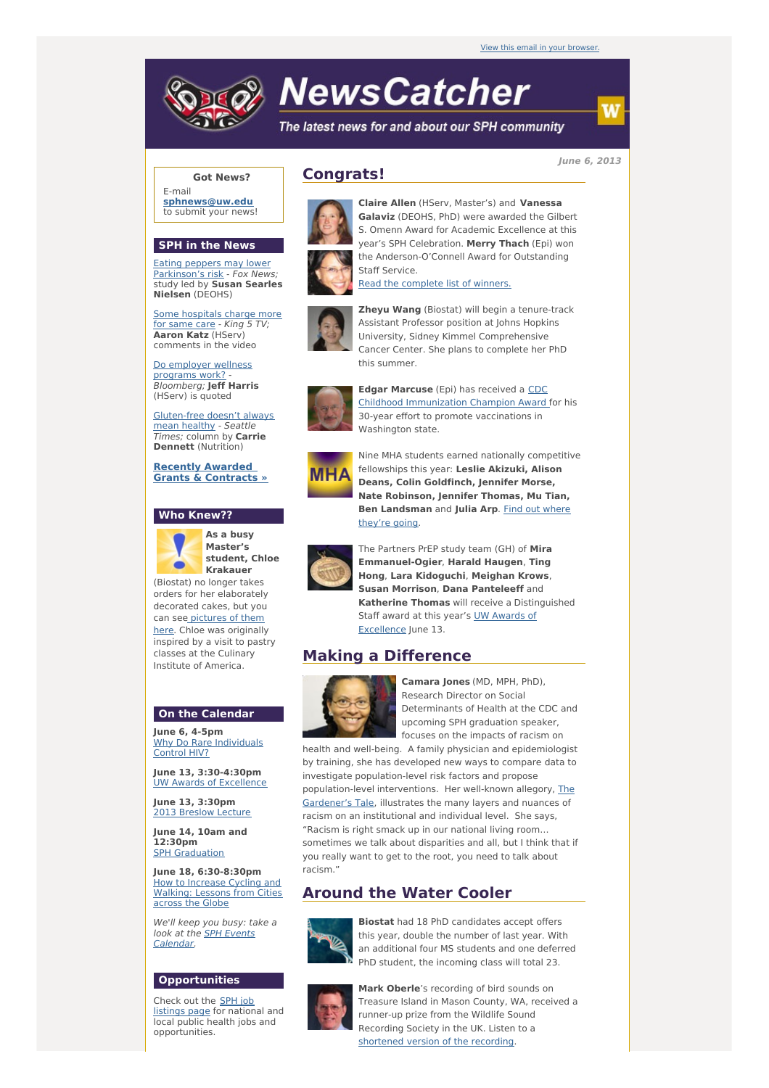# **NewsCatcher**

The latest news for and about our SPH community

**June 6, 2013**

### **Got News?**

E-mail **[sphnews@uw.edu](mailto:sphnews@uw.edu)** to submit your news!

#### **SPH in the News**

Eating peppers may lower [Parkinson's](http://engage.washington.edu/site/R?i=aMTulydOXi6_OjN2b1uXKg) risk - Fox News; study led by **Susan Searles Nielsen** (DEOHS)

Some [hospitals](http://engage.washington.edu/site/R?i=89lYLV_xfp7RypjY0RE7QQ) charge more for same care - King 5 TV; **Aaron Katz** (HServ) comments in the video

Do [employer](http://engage.washington.edu/site/R?i=wx5Sw1VtNSz1tADkh6HuqA) wellness programs work? - Bloomberg; **Jeff Harris** (HServ) is quoted

[Gluten-free](http://engage.washington.edu/site/R?i=xCbmcj95ojFgFhd7hsn40w) doesn't always mean healthy - Seattle Times; column by **Carrie Dennett** (Nutrition)

**Recently Awarded Grants & [Contracts](http://engage.washington.edu/site/R?i=D9qEBqR9h4ZjrjXIBeuotw) »**

#### **Who Knew??**



**As a busy Master's student, Chloe Krakauer**

(Biostat) no longer takes orders for her elaborately decorated cakes, but you can see [pictures](http://engage.washington.edu/site/R?i=8IWO4EyQ9dKkZKBltNHguQ) of them here. Chloe was originally inspired by a visit to pastry classes at the Culinary Institute of America.

#### **On the Calendar**

**June 6, 4-5pm** Why Do Rare [Individuals](http://engage.washington.edu/site/R?i=WGABqR5TmEXHUuL6yervYA) Control HIV?

**June 13, 3:30-4:30pm** UW Awards of [Excellence](http://engage.washington.edu/site/R?i=USxNLUIoxK2y15HbLvg7kQ)

**June 13, 3:30pm** 2013 [Breslow](http://engage.washington.edu/site/R?i=X7s8nmm74-8VpYcC-lvhQQ) Lecture

**June 14, 10am and 12:30pm** SPH [Graduation](http://engage.washington.edu/site/R?i=uaXVWJKfUeindxrkzuIDOQ)

**June 18, 6:30-8:30pm** How to Increase Cycling and [Walking:](http://engage.washington.edu/site/R?i=i9PMQMymQeDlDJa6TLpI0g) Lessons from Cities across the Globe

We'll keep you busy: take a look at the **SPH Events** [Calendar.](http://engage.washington.edu/site/R?i=_PgyPrJ-EnUgLpwO1PSBaw)

#### **Opportunities**

Check out the SPH job [listings](http://engage.washington.edu/site/R?i=O22CHg_IXrAZ97cWd5t0xw) page for national and local public health jobs and opportunities.

## **Congrats!**



**Claire Allen** (HServ, Master's) and **Vanessa Galaviz** (DEOHS, PhD) were awarded the Gilbert S. Omenn Award for Academic Excellence at this year's SPH Celebration. **Merry Thach** (Epi) won the Anderson-O'Connell Award for Outstanding Staff Service. Read the [complete](http://engage.washington.edu/site/R?i=qIpM995MlIuuCCsgcJtHlQ) list of winners.

**Zheyu Wang** (Biostat) will begin a tenure-track Assistant Professor position at Johns Hopkins



University, Sidney Kimmel Comprehensive Cancer Center. She plans to complete her PhD this summer. **Edgar Marcuse** (Epi) has received a CDC



Childhood [Immunization](http://engage.washington.edu/site/R?i=XhqW3gNgwxgRKccJ3yo9VA) Champion Award for his 30-year effort to promote vaccinations in Washington state.



Nine MHA students earned nationally competitive fellowships this year: **Leslie Akizuki, Alison Deans, Colin Goldfinch, Jennifer Morse, Nate Robinson, Jennifer Thomas, Mu Tian, Ben [Landsman](http://engage.washington.edu/site/R?i=jnIEHQkyFdX5T83jdynAwQ)** and **Julia Arp**. Find out where they're going.



The Partners PrEP study team (GH) of **Mira Emmanuel-Ogier**, **Harald Haugen**, **Ting Hong**, **Lara Kidoguchi**, **Meighan Krows**, **Susan Morrison**, **Dana Panteleeff** and **Katherine Thomas** will receive a Distinguished Staff award at this year's UW Awards of [Excellence](http://engage.washington.edu/site/R?i=rPVBG5Wx9I-7jRVujviimQ) June 13.

## **Making a Difference**



**Camara Jones** (MD, MPH, PhD), Research Director on Social Determinants of Health at the CDC and upcoming SPH graduation speaker, focuses on the impacts of racism on

health and well-being. A family physician and epidemiologist by training, she has developed new ways to compare data to investigate population-level risk factors and propose [population-level](http://engage.washington.edu/site/R?i=vmhursqOjYk230xnUGl4ag) interventions. Her well-known allegory, The Gardener's Tale, illustrates the many layers and nuances of racism on an institutional and individual level. She says, "Racism is right smack up in our national living room… sometimes we talk about disparities and all, but I think that if you really want to get to the root, you need to talk about racism."

## **Around the Water Cooler**



**Biostat** had 18 PhD candidates accept offers this year, double the number of last year. With an additional four MS students and one deferred PhD student, the incoming class will total 23.



**Mark Oberle**'s recording of bird sounds on Treasure Island in Mason County, WA, received a runner-up prize from the Wildlife Sound Recording Society in the UK. Listen to a [shortened](http://engage.washington.edu/site/R?i=gwUxIIn8kFMsyr1AW5vTNA) version of the recording.